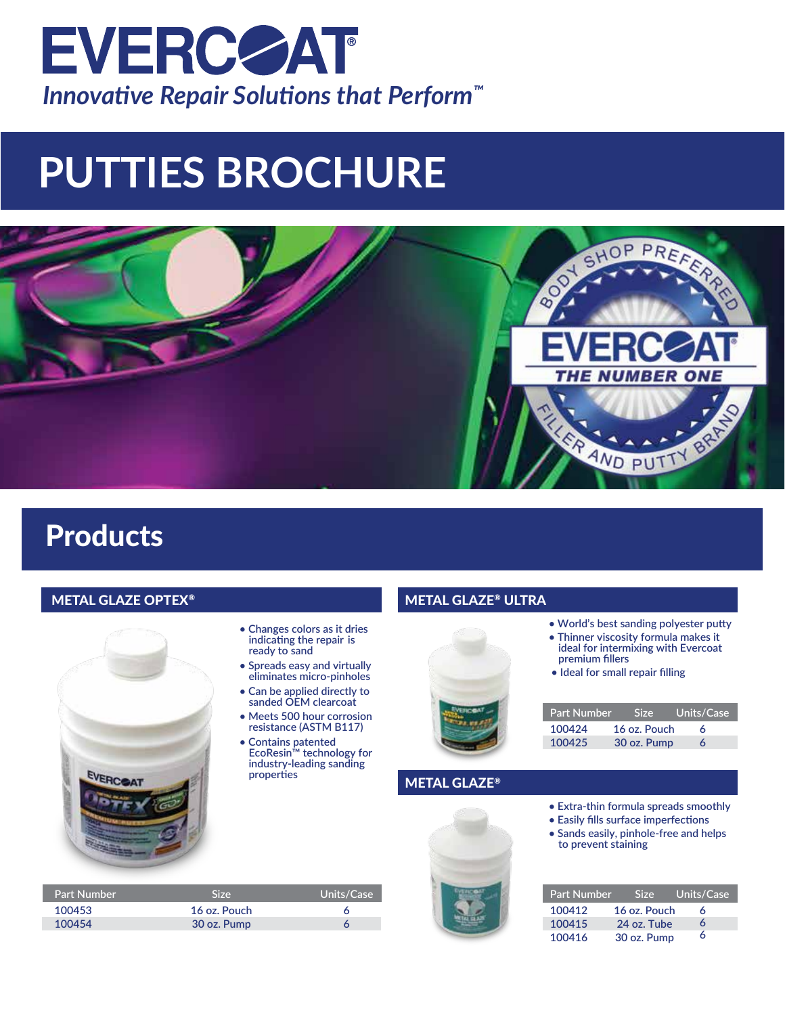

# **PUTTIES BROCHURE**



## Products

#### **METAL GLAZE OPTEX® METAL GLAZE® ULTRA**



- **Changes colors as it dries indicating the repair is ready to sand**
- **Spreads easy and virtually eliminates micro-pinholes**
- **Can be applied directly to sanded OEM clearcoat**
- **Meets 500 hour corrosion resistance (ASTM B117)**
- **Contains patented EcoResin™ technology for industry-leading sanding properties**



|  |  |  |  | • World's best sanding polyester putty |  |
|--|--|--|--|----------------------------------------|--|
|--|--|--|--|----------------------------------------|--|

- **Thinner viscosity formula makes it ideal for intermixing with Evercoat premium fillers**
- **Ideal for small repair filling**

| <b>Part Number</b> | Size:        | Units/Case |
|--------------------|--------------|------------|
| 100424             | 16 oz. Pouch | А          |
| 100425             | 30 oz. Pump  | 6          |

#### METAL GLAZE®

- **Extra-thin formula spreads smoothly**
- **Easily fills surface imperfections**
- **Sands easily, pinhole-free and helps to prevent staining**

| <b>Part Number</b> | Size:        | Units/Case |
|--------------------|--------------|------------|
| 100412             | 16 oz. Pouch | 6          |
| 100415             | 24 oz. Tube  | 6          |
| 100416             | 30 oz. Pump  | ѧ          |

| <b>Size</b>  | Units/Case |
|--------------|------------|
| 16 oz. Pouch |            |
| 30 oz. Pump  |            |
|              |            |